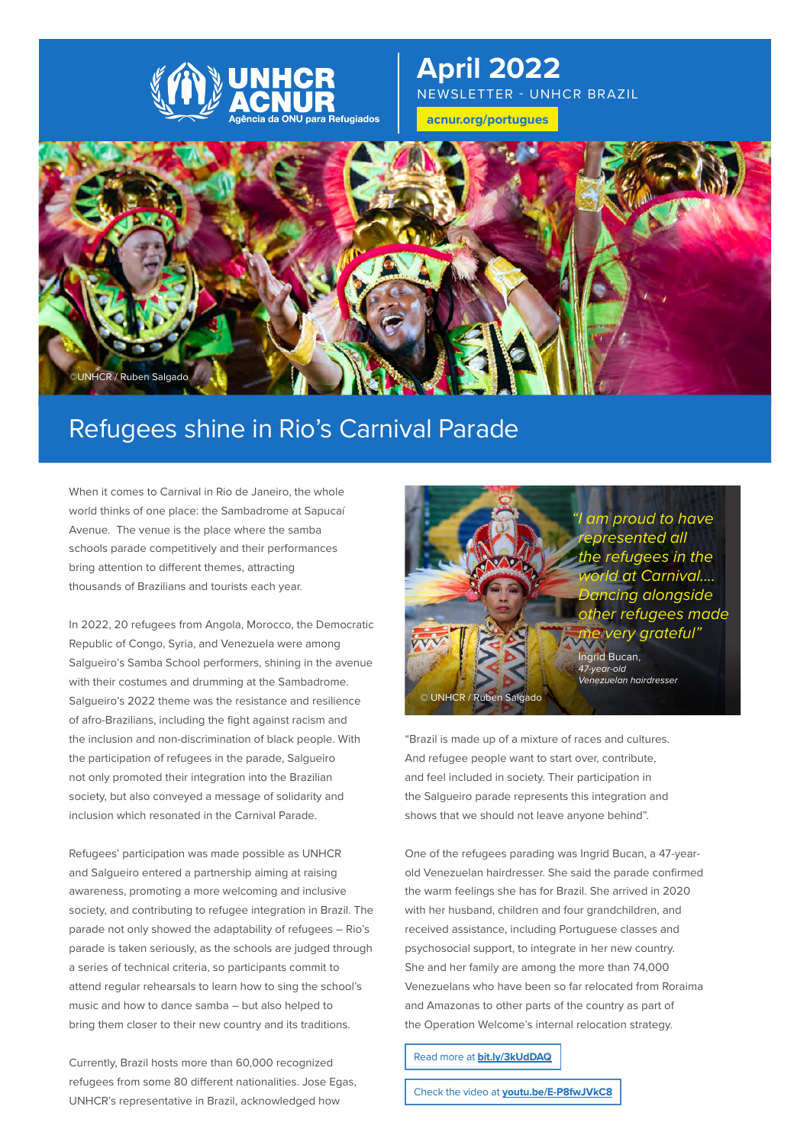

# **April 2022** NEWSLETTER - UNHCR BRAZIL

**[acnur.org](http://acnur.org/portugues)/portugues**



# Refugees shine in Rio's Carnival Parade

When it comes to Carnival in Rio de Janeiro, the whole world thinks of one place: the Sambadrome at Sapucaí Avenue. The venue is the place where the samba schools parade competitively and their performances bring attention to different themes, attracting thousands of Brazilians and tourists each year.

In 2022, 20 refugees from Angola, Morocco, the Democratic Republic of Congo, Syria, and Venezuela were among Salgueiro's Samba School performers, shining in the avenue with their costumes and drumming at the Sambadrome. Salgueiro's 2022 theme was the resistance and resilience of afro-Brazilians, including the fight against racism and the inclusion and non-discrimination of black people. With the participation of refugees in the parade, Salgueiro not only promoted their integration into the Brazilian society, but also conveyed a message of solidarity and inclusion which resonated in the Carnival Parade.

Refugees' participation was made possible as UNHCR and Salgueiro entered a partnership aiming at raising awareness, promoting a more welcoming and inclusive society, and contributing to refugee integration in Brazil. The parade not only showed the adaptability of refugees – Rio's parade is taken seriously, as the schools are judged through a series of technical criteria, so participants commit to attend regular rehearsals to learn how to sing the school's music and how to dance samba – but also helped to bring them closer to their new country and its traditions.

Currently, Brazil hosts more than 60,000 recognized refugees from some 80 different nationalities. Jose Egas, UNHCR's representative in Brazil, acknowledged how



"Brazil is made up of a mixture of races and cultures. And refugee people want to start over, contribute, and feel included in society. Their participation in the Salgueiro parade represents this integration and shows that we should not leave anyone behind".

One of the refugees parading was Ingrid Bucan, a 47-yearold Venezuelan hairdresser. She said the parade confirmed the warm feelings she has for Brazil. She arrived in 2020 with her husband, children and four grandchildren, and received assistance, including Portuguese classes and psychosocial support, to integrate in her new country. She and her family are among the more than 74,000 Venezuelans who have been so far relocated from Roraima and Amazonas to other parts of the country as part of the Operation Welcome's internal relocation strategy.

Read more at **[bit.ly/3kUdDAQ](http://bit.ly/3kUdDAQ)**

Check the video at **[youtu.be/E-P8fwJVkC8](http://youtu.be/E-P8fwJVkC8)**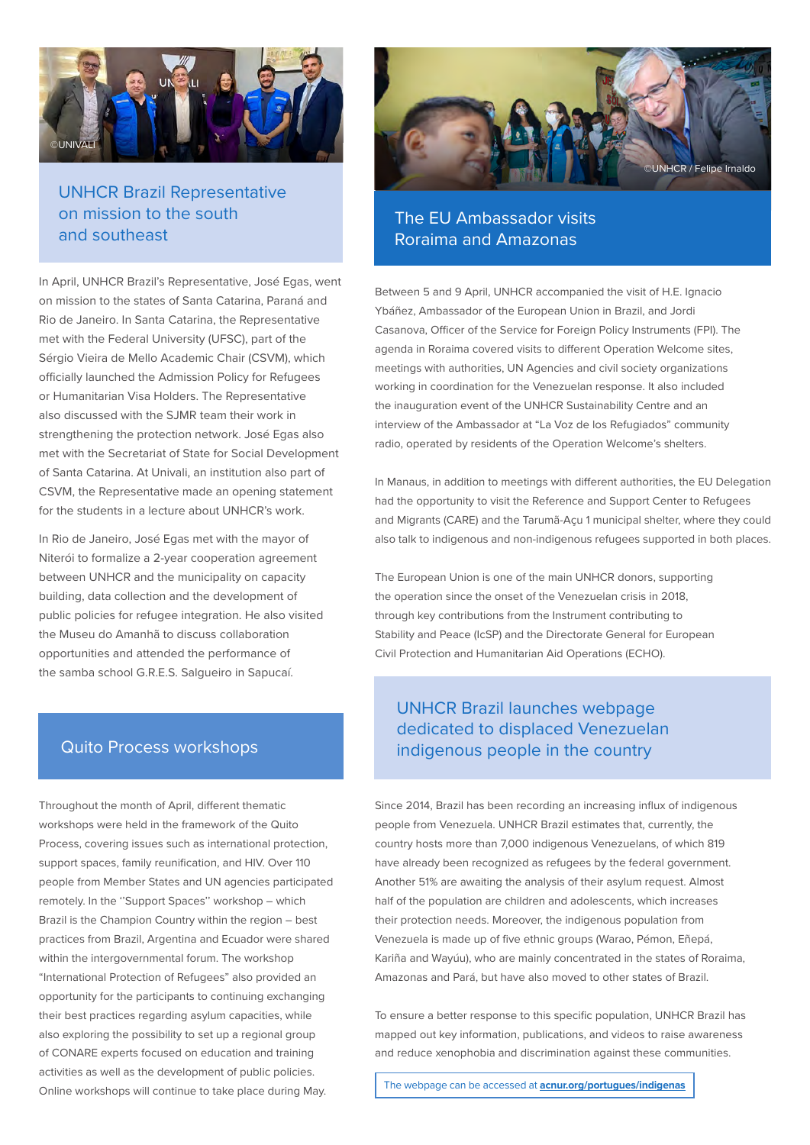

# UNHCR Brazil Representative on mission to the south and southeast

In April, UNHCR Brazil's Representative, José Egas, went on mission to the states of Santa Catarina, Paraná and Rio de Janeiro. In Santa Catarina, the Representative met with the Federal University (UFSC), part of the Sérgio Vieira de Mello Academic Chair (CSVM), which officially launched the Admission Policy for Refugees or Humanitarian Visa Holders. The Representative also discussed with the SJMR team their work in strengthening the protection network. José Egas also met with the Secretariat of State for Social Development of Santa Catarina. At Univali, an institution also part of CSVM, the Representative made an opening statement for the students in a lecture about UNHCR's work.

In Rio de Janeiro, José Egas met with the mayor of Niterói to formalize a 2-year cooperation agreement between UNHCR and the municipality on capacity building, data collection and the development of public policies for refugee integration. He also visited the Museu do Amanhã to discuss collaboration opportunities and attended the performance of the samba school G.R.E.S. Salgueiro in Sapucaí.

## Quito Process workshops

Throughout the month of April, different thematic workshops were held in the framework of the Quito Process, covering issues such as international protection, support spaces, family reunification, and HIV. Over 110 people from Member States and UN agencies participated remotely. In the ''Support Spaces'' workshop – which Brazil is the Champion Country within the region – best practices from Brazil, Argentina and Ecuador were shared within the intergovernmental forum. The workshop "International Protection of Refugees" also provided an opportunity for the participants to continuing exchanging their best practices regarding asylum capacities, while also exploring the possibility to set up a regional group of CONARE experts focused on education and training activities as well as the development of public policies. Online workshops will continue to take place during May.



# The EU Ambassador visits Roraima and Amazonas

Between 5 and 9 April, UNHCR accompanied the visit of H.E. Ignacio Ybáñez, Ambassador of the European Union in Brazil, and Jordi Casanova, Officer of the Service for Foreign Policy Instruments (FPI). The agenda in Roraima covered visits to different Operation Welcome sites, meetings with authorities, UN Agencies and civil society organizations working in coordination for the Venezuelan response. It also included the inauguration event of the UNHCR Sustainability Centre and an interview of the Ambassador at "La Voz de los Refugiados" community radio, operated by residents of the Operation Welcome's shelters.

In Manaus, in addition to meetings with different authorities, the EU Delegation had the opportunity to visit the Reference and Support Center to Refugees and Migrants (CARE) and the Tarumã-Açu 1 municipal shelter, where they could also talk to indigenous and non-indigenous refugees supported in both places.

The European Union is one of the main UNHCR donors, supporting the operation since the onset of the Venezuelan crisis in 2018, through key contributions from the Instrument contributing to Stability and Peace (IcSP) and the Directorate General for European Civil Protection and Humanitarian Aid Operations (ECHO).

# UNHCR Brazil launches webpage dedicated to displaced Venezuelan indigenous people in the country

Since 2014, Brazil has been recording an increasing influx of indigenous people from Venezuela. UNHCR Brazil estimates that, currently, the country hosts more than 7,000 indigenous Venezuelans, of which 819 have already been recognized as refugees by the federal government. Another 51% are awaiting the analysis of their asylum request. Almost half of the population are children and adolescents, which increases their protection needs. Moreover, the indigenous population from Venezuela is made up of five ethnic groups (Warao, Pémon, Eñepá, Kariña and Wayúu), who are mainly concentrated in the states of Roraima, Amazonas and Pará, but have also moved to other states of Brazil.

To ensure a better response to this specific population, UNHCR Brazil has mapped out key information, publications, and videos to raise awareness and reduce xenophobia and discrimination against these communities.

The webpage can be accessed at **[acnur.org/portugues/indigenas](http://acnur.org/portugues/indigenas)**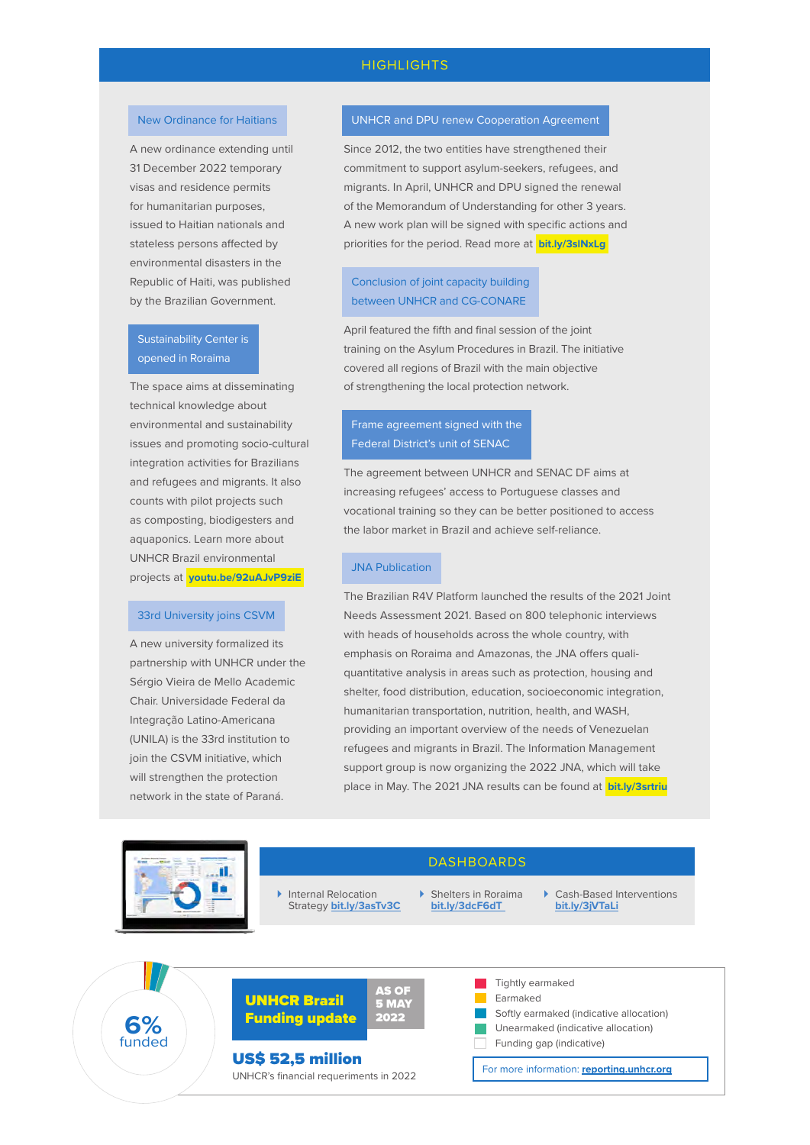### **HIGHLIGHTS**

#### New Ordinance for Haitians

A new ordinance extending until 31 December 2022 temporary visas and residence permits for humanitarian purposes, issued to Haitian nationals and stateless persons affected by environmental disasters in the Republic of Haiti, was published by the Brazilian Government.

### Sustainability Center is opened in Roraima

The space aims at disseminating technical knowledge about environmental and sustainability issues and promoting socio-cultural integration activities for Brazilians and refugees and migrants. It also counts with pilot projects such as composting, biodigesters and aquaponics. Learn more about UNHCR Brazil environmental projects at **[youtu.be/92uAJvP9ziE](http://youtu.be/92uAJvP9ziE)**

#### 33rd University joins CSVM

A new university formalized its partnership with UNHCR under the Sérgio Vieira de Mello Academic Chair. Universidade Federal da Integração Latino-Americana (UNILA) is the 33rd institution to join the CSVM initiative, which will strengthen the protection network in the state of Paraná.

#### UNHCR and DPU renew Cooperation Agreement

Since 2012, the two entities have strengthened their commitment to support asylum-seekers, refugees, and migrants. In April, UNHCR and DPU signed the renewal of the Memorandum of Understanding for other 3 years. A new work plan will be signed with specific actions and priorities for the period. Read more at **[bit.ly/3slNxLg](http://bit.ly/3slNxLg)**

### Conclusion of joint capacity building between UNHCR and CG-CONARE

April featured the fifth and final session of the joint training on the Asylum Procedures in Brazil. The initiative covered all regions of Brazil with the main objective of strengthening the local protection network.

### Frame agreement signed with the Federal District's unit of SENAC

The agreement between UNHCR and SENAC DF aims at increasing refugees' access to Portuguese classes and vocational training so they can be better positioned to access the labor market in Brazil and achieve self-reliance.

#### JNA Publication

The Brazilian R4V Platform launched the results of the 2021 Joint Needs Assessment 2021. Based on 800 telephonic interviews with heads of households across the whole country, with emphasis on Roraima and Amazonas, the JNA offers qualiquantitative analysis in areas such as protection, housing and shelter, food distribution, education, socioeconomic integration, humanitarian transportation, nutrition, health, and WASH, providing an important overview of the needs of Venezuelan refugees and migrants in Brazil. The Information Management support group is now organizing the 2022 JNA, which will take place in May. The 2021 JNA results can be found at **[bit.ly/3srtriu](http://bit.ly/3srtriu)**



#### Internal Relocation Strategy **[bit.ly/3asTv3C](http://bit.ly/3asTv3C)**

 Shelters in Roraima **[bit.ly/3dcF6dT](http://bit.ly/3dcF6dT)**

**DASHBOARDS** 

 Cash-Based Interventions **[bit.ly/3jVTaLi](http://bit.ly/3jVTaLi)**